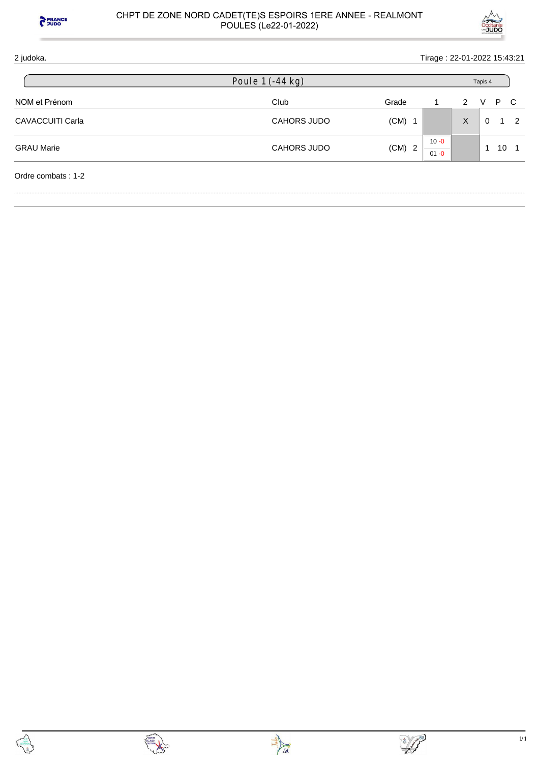



# 2 judoka. Tirage : 22-01-2022 15:43:21 NOM et Prénom and the Club Club Club Club Grade 1 2 V P C CAVACCUITI Carla CAVACCUITI Carla CAVACCUITI Carla CAVACCUITI Carla CAVACCUITI Carla CAVACCUITI Carla 2 GRAU Marie **CAHORS JUDO** (CM) 2  $10 - 0$  $01 - 0$ 1 10 1 Ordre combats : 1-2 Poule 1 (-44 kg) Tapis 4







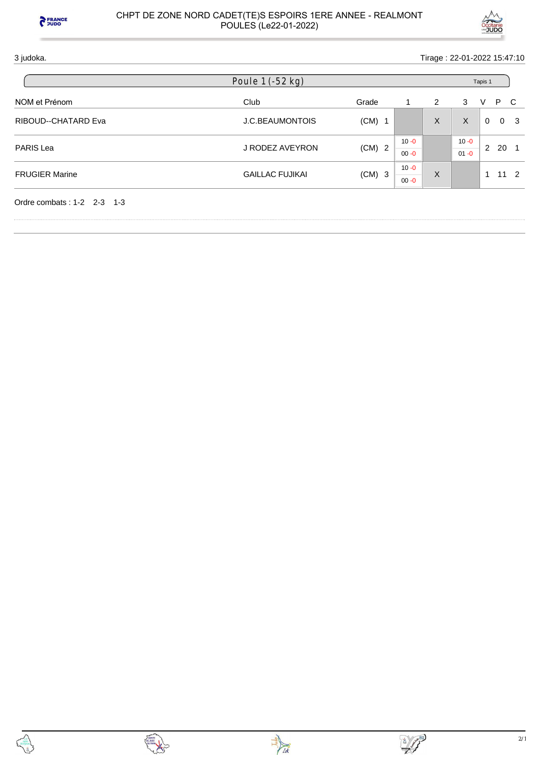

# 3 judoka. Tirage : 22-01-2022 15:47:10

| Poule 1 (-52 kg)             |                        |          |                      |   | Tapis 1              |   |     |                |  |  |
|------------------------------|------------------------|----------|----------------------|---|----------------------|---|-----|----------------|--|--|
| NOM et Prénom                | Club                   | Grade    |                      | 2 | 3                    | V | P C |                |  |  |
| RIBOUD--CHATARD Eva          | <b>J.C.BEAUMONTOIS</b> | $(CM)$ 1 |                      | X | X                    | 0 |     | 0 <sup>3</sup> |  |  |
| <b>PARIS Lea</b>             | J RODEZ AVEYRON        | $(CM)$ 2 | $10 - 0$<br>$00 - 0$ |   | $10 - 0$<br>$01 - 0$ | 2 | 20  |                |  |  |
| <b>FRUGIER Marine</b>        | <b>GAILLAC FUJIKAI</b> | $(CM)$ 3 | $10 - 0$             | X |                      |   |     | $11\quad 2$    |  |  |
|                              |                        |          | $00 - 0$             |   |                      |   |     |                |  |  |
| Ordre combats: $1-2$ 2-3 1-3 |                        |          |                      |   |                      |   |     |                |  |  |



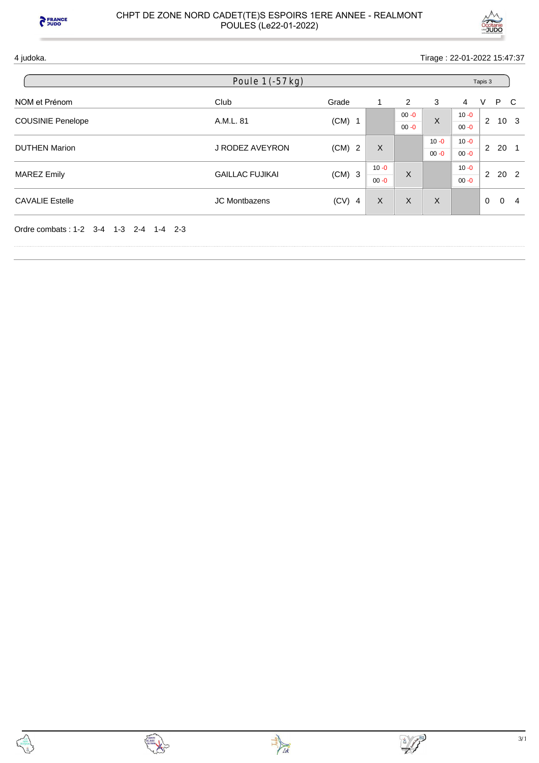



4 judoka. Tirage : 22-01-2022 15:47:37

|                          | Poule 1 (-57 kg)       |          |                      |                      |                      |                      | Tapis 3        |                 |   |
|--------------------------|------------------------|----------|----------------------|----------------------|----------------------|----------------------|----------------|-----------------|---|
| NOM et Prénom            | Club                   | Grade    | 1                    | 2                    | 3                    | 4                    | V              | P C             |   |
| <b>COUSINIE Penelope</b> | A.M.L. 81              | $(CM)$ 1 |                      | $00 - 0$<br>$00 - 0$ | X                    | $10 - 0$<br>$00 - 0$ | $\mathbf{2}$   | 10 <sub>3</sub> |   |
| <b>DUTHEN Marion</b>     | J RODEZ AVEYRON        | $(CM)$ 2 | $\times$             |                      | $10 - 0$<br>$00 - 0$ | $10 - 0$<br>$00 - 0$ | $\overline{2}$ | 20 1            |   |
| <b>MAREZ Emily</b>       | <b>GAILLAC FUJIKAI</b> | $(CM)$ 3 | $10 - 0$<br>$00 - 0$ | X                    |                      | $10 - 0$<br>$00 - 0$ | $\mathbf{2}$   | 20 <sub>2</sub> |   |
| <b>CAVALIE Estelle</b>   | JC Montbazens          | $(CV)$ 4 | $\sf X$              | X                    | X                    |                      | $\Omega$       | $\Omega$        | 4 |



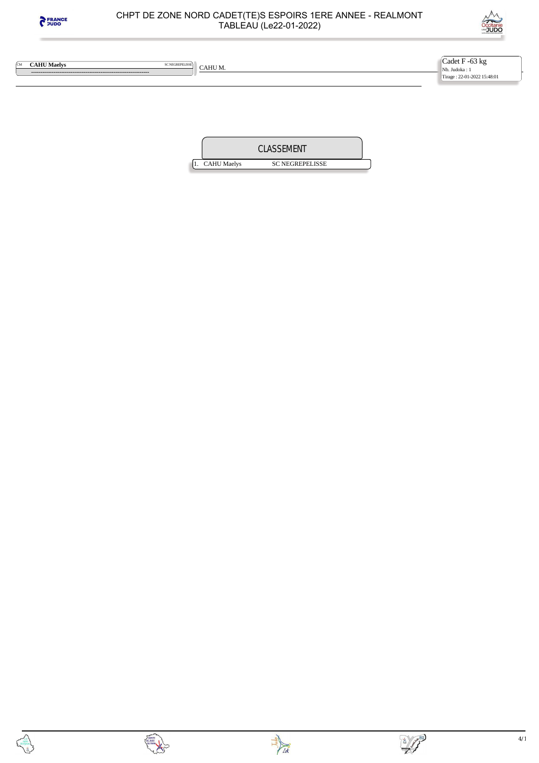



 **---------------------------------------------------------------** 

**CAHU Maelys** SCNEGREPELISSE CAHU M.

Cadet F -63 kg Nb. Judoka : 1 Tirage : 22-01-2022 15:48:01

|                    | <b>CLASSEMENT</b>      |  |
|--------------------|------------------------|--|
| <b>CAHU Maelys</b> | <b>SC NEGREPELISSE</b> |  |



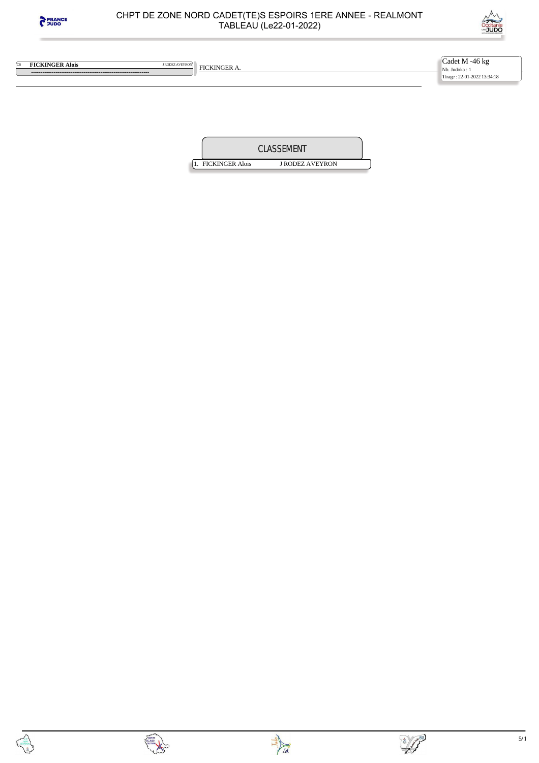



**EXECUTIVE ALOIS FICKINGER ALOIS FICKINGER A.** 

 **---------------------------------------------------------------** 

Cadet M -46 kg Nb. Judoka : 1 Tirage : 22-01-2022 13:34:18

|                        | CLASSEMENT             |  |
|------------------------|------------------------|--|
| <b>FICKINGER Alois</b> | <b>I RODEZ AVEYRON</b> |  |





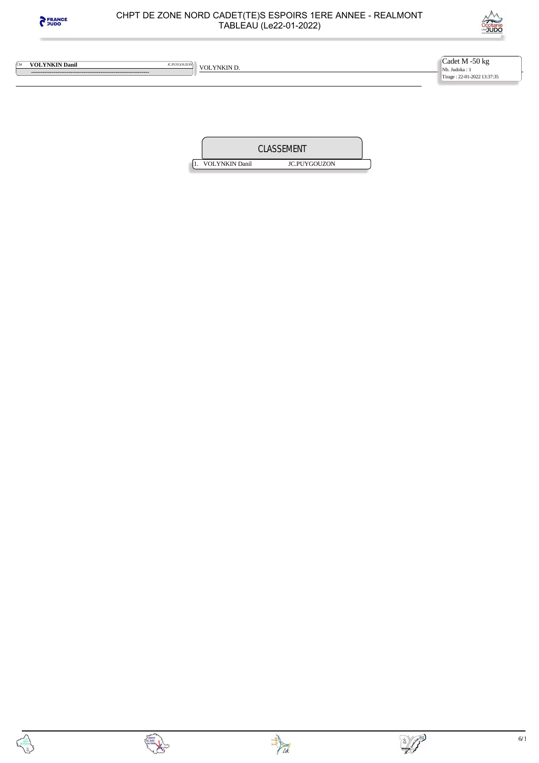



**WEDEFINGTHERE IN THE COLYNISITY OF A VOLYNISITY OF A VOLYNISITY D. VOLYNISITY** D.

 **---------------------------------------------------------------** 

Cadet M -50 kg Nb. Judoka : 1 Tirage : 22-01-2022 13:37:35

|                       | CLASSEMENT          |  |
|-----------------------|---------------------|--|
| <b>VOLYNKIN Danil</b> | <b>JC.PUYGOUZON</b> |  |



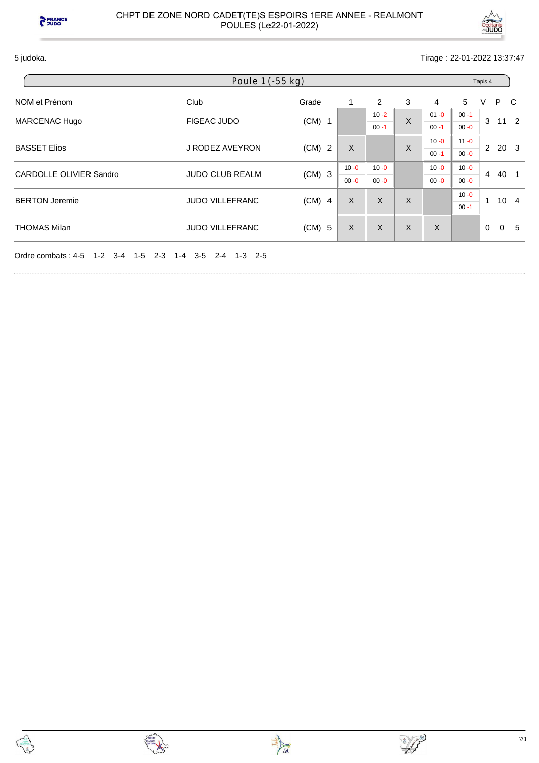



5 judoka. Tirage : 22-01-2022 13:37:47

| Poule 1 (-55 kg)                     |                                               |          |              |          |   |                                                    |          | Tapis 4  |              |    |  |  |
|--------------------------------------|-----------------------------------------------|----------|--------------|----------|---|----------------------------------------------------|----------|----------|--------------|----|--|--|
| NOM et Prénom                        | Club                                          | Grade    | 1            | 2        | 3 | $\overline{4}$                                     | 5        | V        | P C          |    |  |  |
| MARCENAC Hugo                        | <b>FIGEAC JUDO</b>                            | $(CM)$ 1 |              | $10 - 2$ | X | $01 - 0$                                           | $00 - 1$ | 3        | $11 \quad 2$ |    |  |  |
|                                      |                                               |          |              | $00 - 1$ |   | $00 - 1$                                           | $00 - 0$ |          |              |    |  |  |
| <b>BASSET Elios</b>                  | J RODEZ AVEYRON                               | $(CM)$ 2 | X            |          | X | $10 - 0$                                           | $11 - 0$ |          | $2\ 20\ 3$   |    |  |  |
|                                      |                                               |          |              |          |   | $00 - 1$                                           | $00 - 0$ |          |              |    |  |  |
|                                      |                                               |          | $10 - 0$     | $10 - 0$ |   | $10 - 0$                                           | $10 - 0$ |          |              |    |  |  |
| <b>CARDOLLE OLIVIER Sandro</b>       | <b>JUDO CLUB REALM</b>                        | $(CM)$ 3 | $00 - 0$     | $00 - 0$ |   | $\overline{4}$<br>$00 - 0$<br>$00 - 0$<br>$10 - 0$ | 40 1     |          |              |    |  |  |
|                                      |                                               |          |              |          |   |                                                    |          | 1        |              |    |  |  |
| <b>BERTON Jeremie</b>                | <b>JUDO VILLEFRANC</b>                        | $(CM)$ 4 | X            | X        | X |                                                    | $00 - 1$ |          | $10 \quad 4$ |    |  |  |
| <b>THOMAS Milan</b>                  | <b>JUDO VILLEFRANC</b>                        | $(CM)$ 5 | $\mathsf{X}$ | X        | X | X                                                  |          | $\Omega$ | $\mathbf 0$  | -5 |  |  |
| 1-2 3-4<br>Ordre combats: 4-5<br>1-5 | $2 - 3$<br>$3-5$ $2-4$ $1-3$ $2-5$<br>$1 - 4$ |          |              |          |   |                                                    |          |          |              |    |  |  |



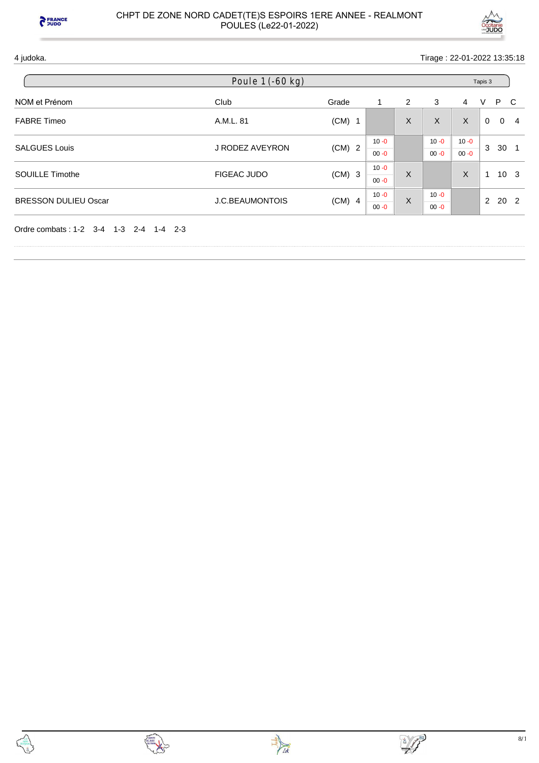



4 judoka. Tirage : 22-01-2022 13:35:18

|                             | Poule $1$ $(-60$ kg)   |          |          |   |          |          | Tapis 3                                    |              |                |
|-----------------------------|------------------------|----------|----------|---|----------|----------|--------------------------------------------|--------------|----------------|
| NOM et Prénom               | Club                   | Grade    | 1        | 2 | 3        | 4        | V                                          | P C          |                |
| <b>FABRE Timeo</b>          | A.M.L. 81              | $(CM)$ 1 |          | X | $\sf X$  | X        | $\mathbf 0$                                | $\mathbf{0}$ | $\overline{4}$ |
|                             |                        |          | $10 - 0$ |   | $10 - 0$ | $10 - 0$ |                                            |              |                |
| <b>SALGUES Louis</b>        | J RODEZ AVEYRON        | $(CM)$ 2 | $00 - 0$ |   | $00 - 0$ | $00 - 0$ |                                            |              |                |
| <b>SOUILLE Timothe</b>      | FIGEAC JUDO            | $(CM)$ 3 | $10 - 0$ | X |          | X        |                                            |              |                |
|                             |                        |          | $00 - 0$ |   |          |          | 3<br>1<br>$\overline{2}$                   |              |                |
| <b>BRESSON DULIEU Oscar</b> | <b>J.C.BEAUMONTOIS</b> | $(CM)$ 4 | $10 - 0$ | X | $10 - 0$ |          |                                            |              |                |
|                             |                        |          | $00 - 0$ |   | $00 - 0$ |          | 30 <sub>1</sub><br>10 <sub>3</sub><br>20 2 |              |                |

Ordre combats : 1-2 3-4 1-3 2-4 1-4 2-3



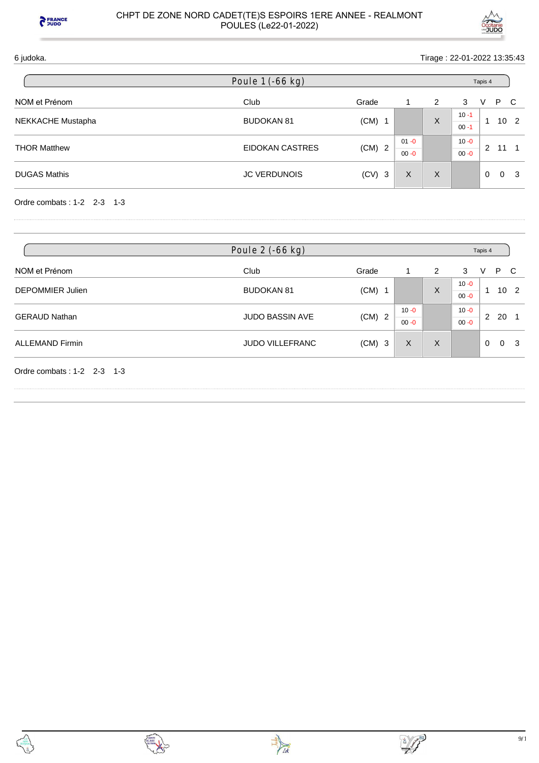



6 judoka. Tirage : 22-01-2022 13:35:43

| Poule 1 (-66 kg)    |                     |          |          |   | Tapis 4              |          |          |                 |  |
|---------------------|---------------------|----------|----------|---|----------------------|----------|----------|-----------------|--|
| NOM et Prénom       | Club                | Grade    |          | 2 | 3                    | V        | P.       | - C             |  |
| NEKKACHE Mustapha   | <b>BUDOKAN 81</b>   | $(CM)$ 1 |          | X | $10 - 1$<br>$00 - 1$ |          |          | 10 <sub>2</sub> |  |
| <b>THOR Matthew</b> | EIDOKAN CASTRES     | $(CM)$ 2 | $01 - 0$ |   | $10 - 0$             | 2        | 11       |                 |  |
|                     |                     |          | $00 - 0$ |   | $00 - 0$             |          |          |                 |  |
| <b>DUGAS Mathis</b> | <b>JC VERDUNOIS</b> | $(CV)$ 3 | X        | X |                      | $\Omega$ | $\Omega$ | - 3             |  |

Ordre combats : 1-2 2-3 1-3

|                            | Poule 2 (-66 kg)       |          |                      | Tapis 4  |                      |             |                 |
|----------------------------|------------------------|----------|----------------------|----------|----------------------|-------------|-----------------|
| NOM et Prénom              | Club                   | Grade    |                      | 2        | 3                    | V           | P.<br>-C        |
| DEPOMMIER Julien           | <b>BUDOKAN 81</b>      | $(CM)$ 1 |                      | $\times$ | $10 - 0$<br>$00 - 0$ | и           | 10 <sub>2</sub> |
| <b>GERAUD Nathan</b>       | <b>JUDO BASSIN AVE</b> | $(CM)$ 2 | $10 - 0$<br>$00 - 0$ |          | $10 - 0$<br>$00 - 0$ | 2           | 20              |
| <b>ALLEMAND Firmin</b>     | <b>JUDO VILLEFRANC</b> | $(CM)$ 3 | X                    | $\times$ |                      | $\mathbf 0$ | $\Omega$<br>-3  |
| Ordre combats: 1-2 2-3 1-3 |                        |          |                      |          |                      |             |                 |



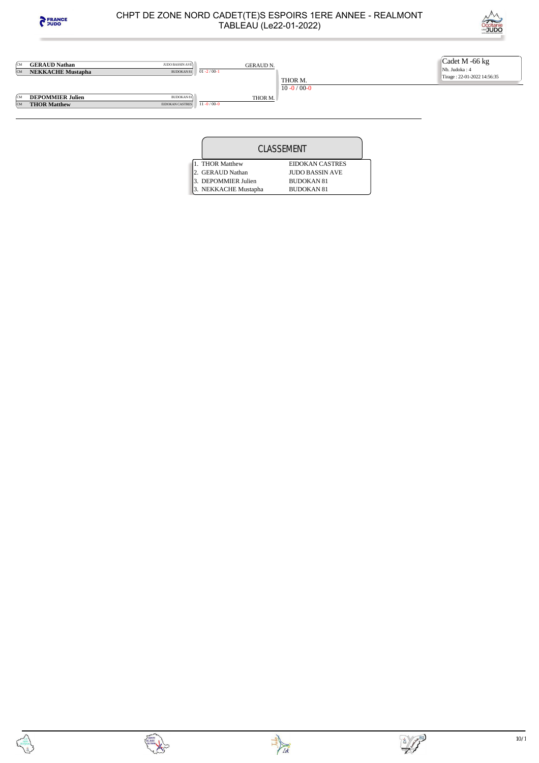





| CLASSEMENT           |                        |  |
|----------------------|------------------------|--|
| 1. THOR Matthew      | <b>EIDOKAN CASTRES</b> |  |
| 2. GERAUD Nathan     | <b>IUDO BASSIN AVE</b> |  |
| 3. DEPOMMIER Julien  | <b>BUDOKAN 81</b>      |  |
| 3. NEKKACHE Mustapha | <b>BUDOKAN 81</b>      |  |